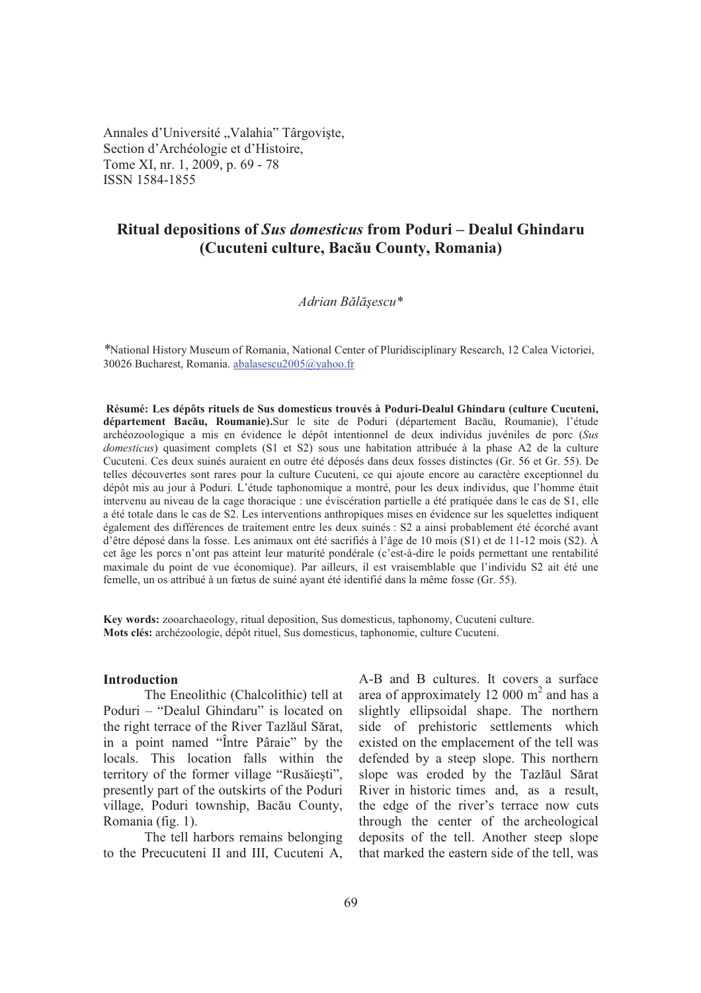Annales d'Université "Valahia" Târgoviște, Section d'Archéologie et d'Histoire, Tome XI, nr. 1, 2009, p. 69 - 78 ISSN 1584-1855

# **Ritual depositions of** *Sus domesticus* **from Poduri – Dealul Ghindaru (Cucuteni culture, Bacu County, Romania)**

## *Adrian Bl-escu\**

*\**National History Museum of Romania, National Center of Pluridisciplinary Research, 12 Calea Victoriei, 30026 Bucharest, Romania. abalasescu2005@yahoo.fr

 **Résumé: Les dépôts rituels de Sus domesticus trouvés à Poduri-Dealul Ghindaru (culture Cucuteni,**  département Bacău, Roumanie).Sur le site de Poduri (département Bacău, Roumanie), l'étude archéozoologique a mis en évidence le dépôt intentionnel de deux individus juvéniles de porc (*Sus domesticus*) quasiment complets (S1 et S2) sous une habitation attribuée à la phase A2 de la culture Cucuteni. Ces deux suinés auraient en outre été déposés dans deux fosses distinctes (Gr. 56 et Gr. 55). De telles découvertes sont rares pour la culture Cucuteni, ce qui ajoute encore au caractère exceptionnel du dépôt mis au jour à Poduri. L'étude taphonomique a montré, pour les deux individus, que l'homme était intervenu au niveau de la cage thoracique : une éviscération partielle a été pratiquée dans le cas de S1, elle a été totale dans le cas de S2. Les interventions anthropiques mises en évidence sur les squelettes indiquent également des différences de traitement entre les deux suinés : S2 a ainsi probablement été écorché avant d'être déposé dans la fosse. Les animaux ont été sacrifiés à l'âge de 10 mois (S1) et de 11-12 mois (S2). À cet âge les porcs n'ont pas atteint leur maturité pondérale (c'est-à-dire le poids permettant une rentabilité maximale du point de vue économique). Par ailleurs, il est vraisemblable que l'individu S2 ait été une femelle, un os attribué à un fœtus de suiné ayant été identifié dans la même fosse (Gr. 55).

**Key words:** zooarchaeology, ritual deposition, Sus domesticus, taphonomy, Cucuteni culture. **Mots clés:** archézoologie, dépôt rituel, Sus domesticus, taphonomie, culture Cucuteni.

## **Introduction**

The Eneolithic (Chalcolithic) tell at Poduri – "Dealul Ghindaru" is located on the right terrace of the River Tazlăul Sărat, in a point named "Între Pâraie" by the locals. This location falls within the territory of the former village "Rusăiești", presently part of the outskirts of the Poduri village, Poduri township, Bacău County, Romania (fig. 1).

The tell harbors remains belonging to the Precucuteni II and III, Cucuteni A,

A-B and B cultures. It covers a surface area of approximately 12 000  $m<sup>2</sup>$  and has a slightly ellipsoidal shape. The northern side of prehistoric settlements which existed on the emplacement of the tell was defended by a steep slope. This northern slope was eroded by the Tazlăul Sărat River in historic times and, as a result, the edge of the river's terrace now cuts through the center of the archeological deposits of the tell. Another steep slope that marked the eastern side of the tell, was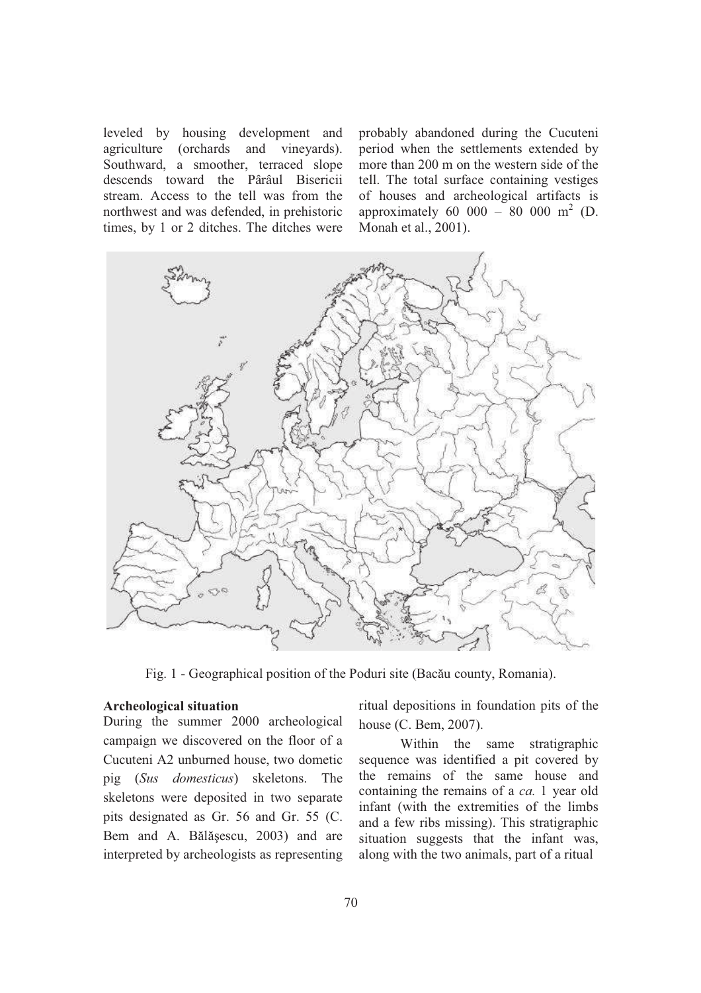leveled by housing development and agriculture (orchards and vineyards). Southward, a smoother, terraced slope descends toward the Pârâul Bisericii stream. Access to the tell was from the northwest and was defended, in prehistoric times, by 1 or 2 ditches. The ditches were

probably abandoned during the Cucuteni period when the settlements extended by more than 200 m on the western side of the tell. The total surface containing vestiges of houses and archeological artifacts is approximately 60 000 – 80 000 m<sup>2</sup> (D. Monah et al., 2001).



Fig. 1 - Geographical position of the Poduri site (Bacău county, Romania).

#### **Archeological situation**

During the summer 2000 archeological campaign we discovered on the floor of a Cucuteni A2 unburned house, two dometic pig (*Sus domesticus*) skeletons. The skeletons were deposited in two separate pits designated as Gr. 56 and Gr. 55 (C. Bem and A. Bălășescu, 2003) and are interpreted by archeologists as representing

ritual depositions in foundation pits of the house (C. Bem, 2007).

Within the same stratigraphic sequence was identified a pit covered by the remains of the same house and containing the remains of a *ca.* 1 year old infant (with the extremities of the limbs and a few ribs missing). This stratigraphic situation suggests that the infant was, along with the two animals, part of a ritual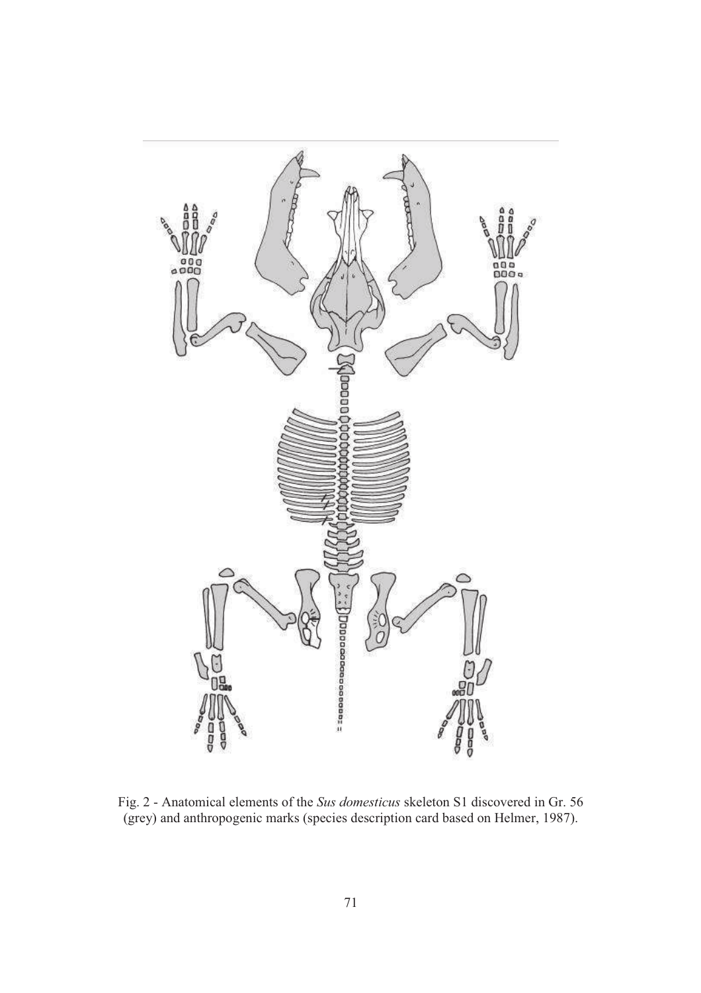

Fig. 2 - Anatomical elements of the *Sus domesticus* skeleton S1 discovered in Gr. 56 (grey) and anthropogenic marks (species description card based on Helmer, 1987).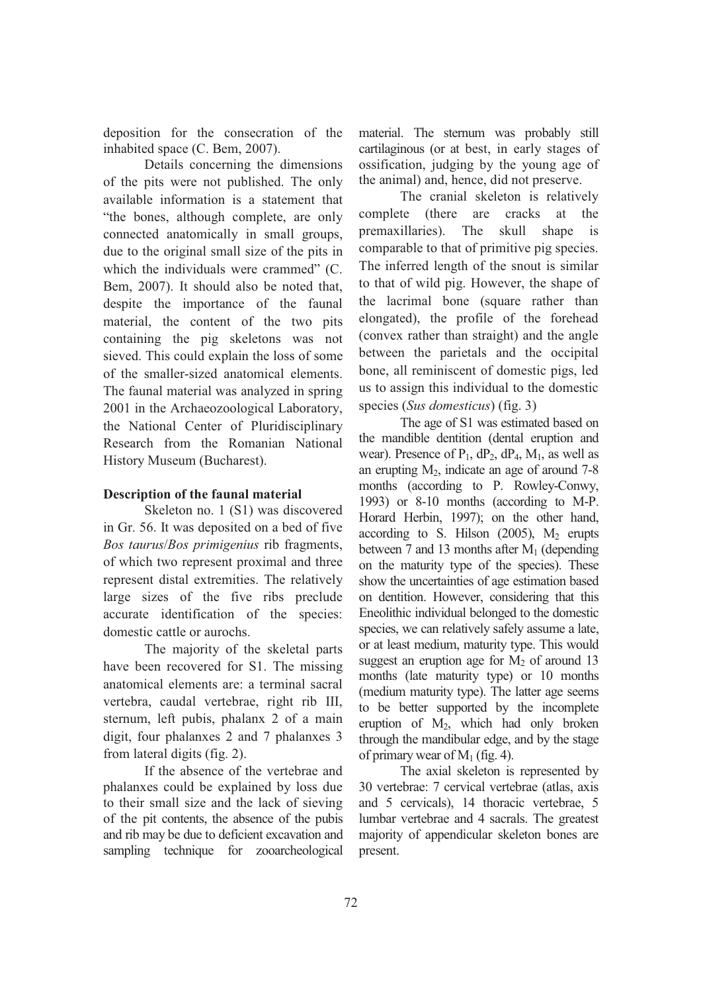deposition for the consecration of the inhabited space (C. Bem, 2007).

Details concerning the dimensions of the pits were not published. The only available information is a statement that "the bones, although complete, are only connected anatomically in small groups, due to the original small size of the pits in which the individuals were crammed" (C. Bem, 2007). It should also be noted that, despite the importance of the faunal material, the content of the two pits containing the pig skeletons was not sieved. This could explain the loss of some of the smaller-sized anatomical elements. The faunal material was analyzed in spring 2001 in the Archaeozoological Laboratory, the National Center of Pluridisciplinary Research from the Romanian National History Museum (Bucharest).

# **Description of the faunal material**

Skeleton no. 1 (S1) was discovered in Gr. 56. It was deposited on a bed of five *Bos taurus*/*Bos primigenius* rib fragments, of which two represent proximal and three represent distal extremities. The relatively large sizes of the five ribs preclude accurate identification of the species: domestic cattle or aurochs.

The majority of the skeletal parts have been recovered for S1. The missing anatomical elements are: a terminal sacral vertebra, caudal vertebrae, right rib III, sternum, left pubis, phalanx 2 of a main digit, four phalanxes 2 and 7 phalanxes 3 from lateral digits (fig. 2).

If the absence of the vertebrae and phalanxes could be explained by loss due to their small size and the lack of sieving of the pit contents, the absence of the pubis and rib may be due to deficient excavation and sampling technique for zooarcheological

material. The sternum was probably still cartilaginous (or at best, in early stages of ossification, judging by the young age of the animal) and, hence, did not preserve.

The cranial skeleton is relatively complete (there are cracks at the premaxillaries). The skull shape is comparable to that of primitive pig species. The inferred length of the snout is similar to that of wild pig. However, the shape of the lacrimal bone (square rather than elongated), the profile of the forehead (convex rather than straight) and the angle between the parietals and the occipital bone, all reminiscent of domestic pigs, led us to assign this individual to the domestic species (*Sus domesticus*) (fig. 3)

The age of S1 was estimated based on the mandible dentition (dental eruption and wear). Presence of  $P_1$ ,  $dP_2$ ,  $dP_4$ ,  $M_1$ , as well as an erupting  $M_2$ , indicate an age of around 7-8 months (according to P. Rowley-Conwy, 1993) or 8-10 months (according to M-P. Horard Herbin, 1997); on the other hand, according to S. Hilson  $(2005)$ , M<sub>2</sub> erupts between 7 and 13 months after  $M_1$  (depending on the maturity type of the species). These show the uncertainties of age estimation based on dentition. However, considering that this Eneolithic individual belonged to the domestic species, we can relatively safely assume a late, or at least medium, maturity type. This would suggest an eruption age for  $M<sub>2</sub>$  of around 13 months (late maturity type) or 10 months (medium maturity type). The latter age seems to be better supported by the incomplete eruption of  $M_2$ , which had only broken through the mandibular edge, and by the stage of primary wear of  $M_1$  (fig. 4).

The axial skeleton is represented by 30 vertebrae: 7 cervical vertebrae (atlas, axis and 5 cervicals), 14 thoracic vertebrae, 5 lumbar vertebrae and 4 sacrals. The greatest majority of appendicular skeleton bones are present.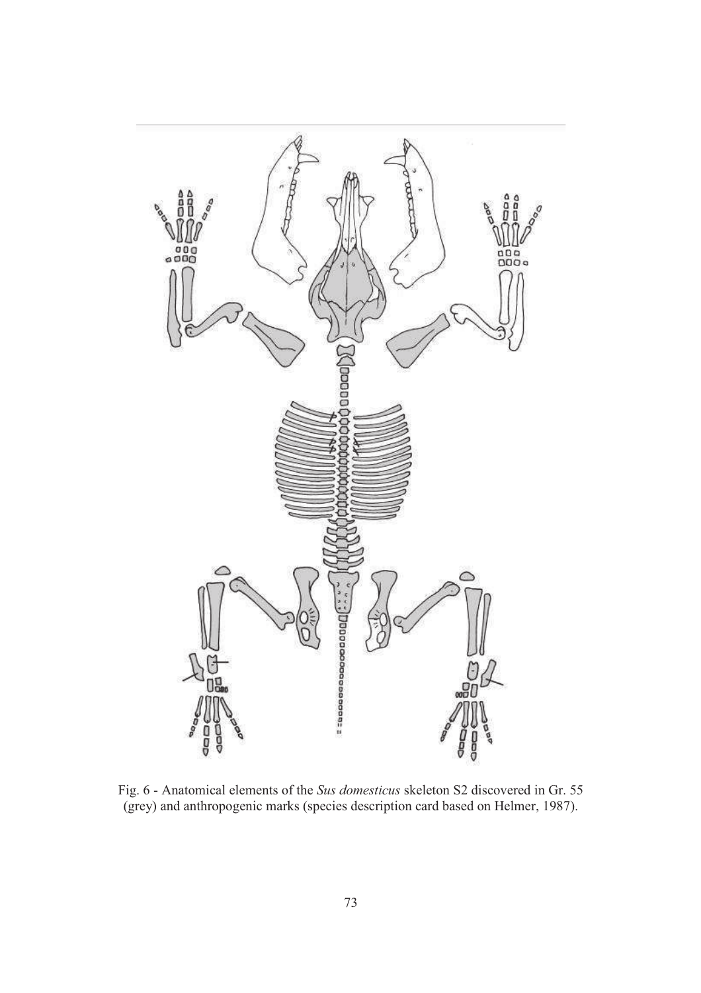

Fig. 6 - Anatomical elements of the *Sus domesticus* skeleton S2 discovered in Gr. 55 (grey) and anthropogenic marks (species description card based on Helmer, 1987).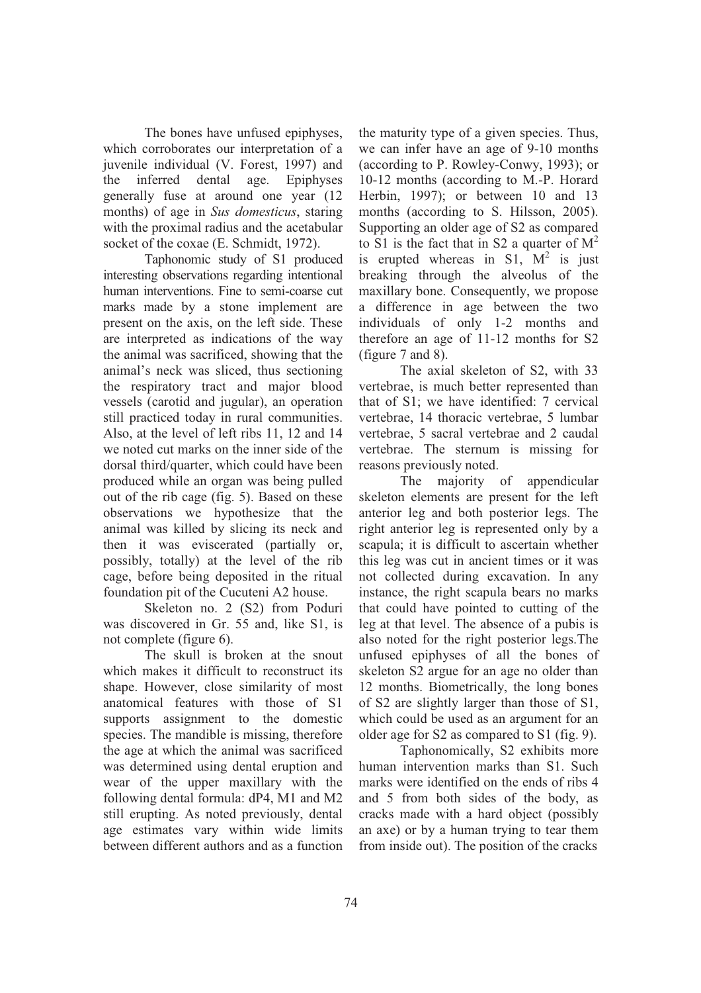The bones have unfused epiphyses, which corroborates our interpretation of a juvenile individual (V. Forest, 1997) and the inferred dental age. Epiphyses generally fuse at around one year (12 months) of age in *Sus domesticus*, staring with the proximal radius and the acetabular socket of the coxae (E. Schmidt, 1972).

Taphonomic study of S1 produced interesting observations regarding intentional human interventions. Fine to semi-coarse cut marks made by a stone implement are present on the axis, on the left side. These are interpreted as indications of the way the animal was sacrificed, showing that the animal's neck was sliced, thus sectioning the respiratory tract and major blood vessels (carotid and jugular), an operation still practiced today in rural communities. Also, at the level of left ribs 11, 12 and 14 we noted cut marks on the inner side of the dorsal third/quarter, which could have been produced while an organ was being pulled out of the rib cage (fig. 5). Based on these observations we hypothesize that the animal was killed by slicing its neck and then it was eviscerated (partially or, possibly, totally) at the level of the rib cage, before being deposited in the ritual foundation pit of the Cucuteni A2 house.

Skeleton no. 2 (S2) from Poduri was discovered in Gr. 55 and, like S1, is not complete (figure 6).

The skull is broken at the snout which makes it difficult to reconstruct its shape. However, close similarity of most anatomical features with those of S1 supports assignment to the domestic species. The mandible is missing, therefore the age at which the animal was sacrificed was determined using dental eruption and wear of the upper maxillary with the following dental formula: dP4, M1 and M2 still erupting. As noted previously, dental age estimates vary within wide limits between different authors and as a function

the maturity type of a given species. Thus, we can infer have an age of 9-10 months (according to P. Rowley-Conwy, 1993); or 10-12 months (according to M.-P. Horard Herbin, 1997); or between 10 and 13 months (according to S. Hilsson, 2005). Supporting an older age of S2 as compared to S1 is the fact that in S2 a quarter of  $M<sup>2</sup>$ is erupted whereas in  $S1$ ,  $M^2$  is just breaking through the alveolus of the maxillary bone. Consequently, we propose a difference in age between the two individuals of only 1-2 months and therefore an age of 11-12 months for S2 (figure 7 and 8).

The axial skeleton of S2, with 33 vertebrae, is much better represented than that of S1; we have identified: 7 cervical vertebrae, 14 thoracic vertebrae, 5 lumbar vertebrae, 5 sacral vertebrae and 2 caudal vertebrae. The sternum is missing for reasons previously noted.

The majority of appendicular skeleton elements are present for the left anterior leg and both posterior legs. The right anterior leg is represented only by a scapula; it is difficult to ascertain whether this leg was cut in ancient times or it was not collected during excavation. In any instance, the right scapula bears no marks that could have pointed to cutting of the leg at that level. The absence of a pubis is also noted for the right posterior legs.The unfused epiphyses of all the bones of skeleton S2 argue for an age no older than 12 months. Biometrically, the long bones of S2 are slightly larger than those of S1, which could be used as an argument for an older age for S2 as compared to S1 (fig. 9).

Taphonomically, S2 exhibits more human intervention marks than S1. Such marks were identified on the ends of ribs 4 and 5 from both sides of the body, as cracks made with a hard object (possibly an axe) or by a human trying to tear them from inside out). The position of the cracks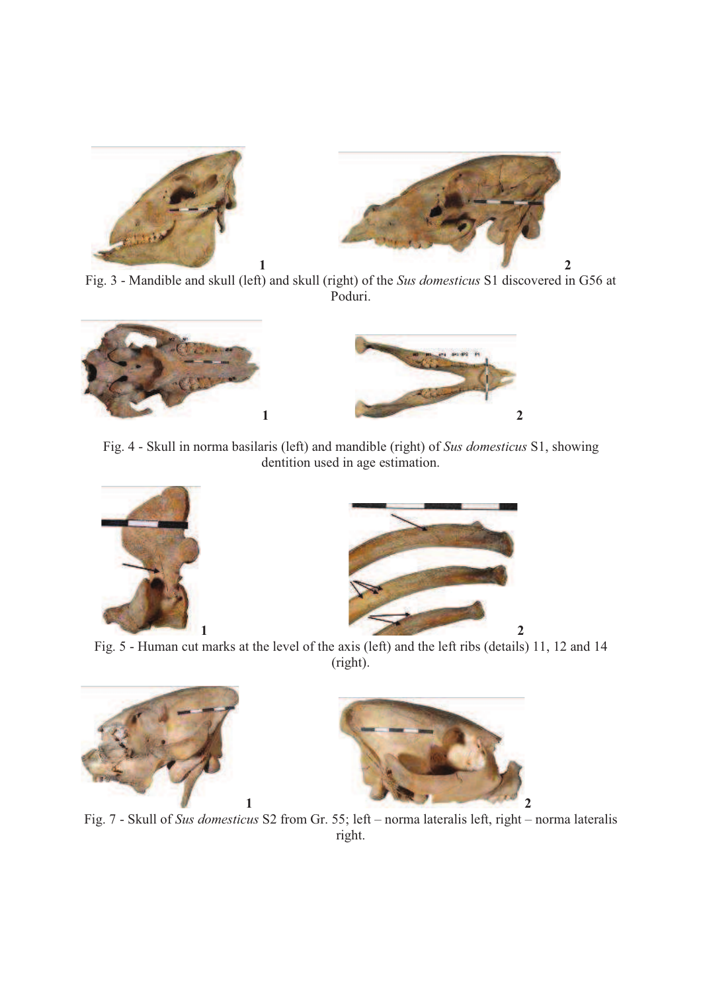



Fig. 3 - Mandible and skull (left) and skull (right) of the *Sus domesticus* S1 discovered in G56 at Poduri.



Fig. 4 - Skull in norma basilaris (left) and mandible (right) of *Sus domesticus* S1, showing dentition used in age estimation.





Fig. 5 - Human cut marks at the level of the axis (left) and the left ribs (details) 11, 12 and 14 (right).





Fig. 7 - Skull of *Sus domesticus* S2 from Gr. 55; left – norma lateralis left, right – norma lateralis right.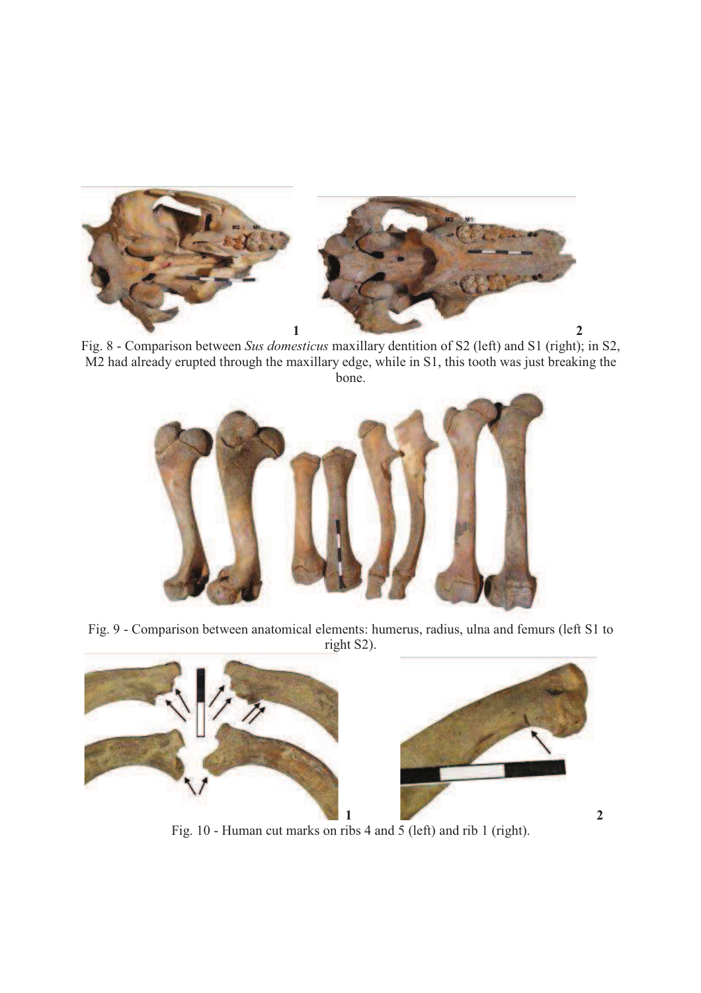

Fig. 8 - Comparison between *Sus domesticus* maxillary dentition of S2 (left) and S1 (right); in S2, M2 had already erupted through the maxillary edge, while in S1, this tooth was just breaking the bone.



Fig. 9 - Comparison between anatomical elements: humerus, radius, ulna and femurs (left S1 to right S2).



Fig. 10 - Human cut marks on ribs 4 and 5 (left) and rib 1 (right).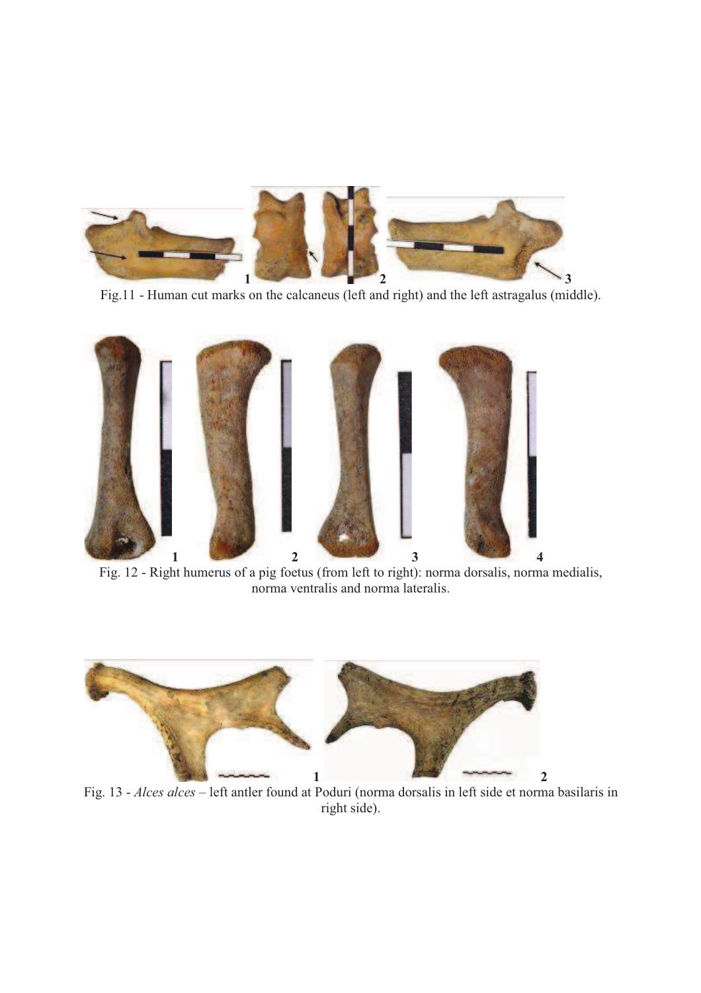

Fig.11 - Human cut marks on the calcaneus (left and right) and the left astragalus (middle).



Fig. 12 - Right humerus of a pig foetus (from left to right): norma dorsalis, norma medialis, norma ventralis and norma lateralis.



Fig. 13 - *Alces alces* – left antler found at Poduri (norma dorsalis in left side et norma basilaris in right side).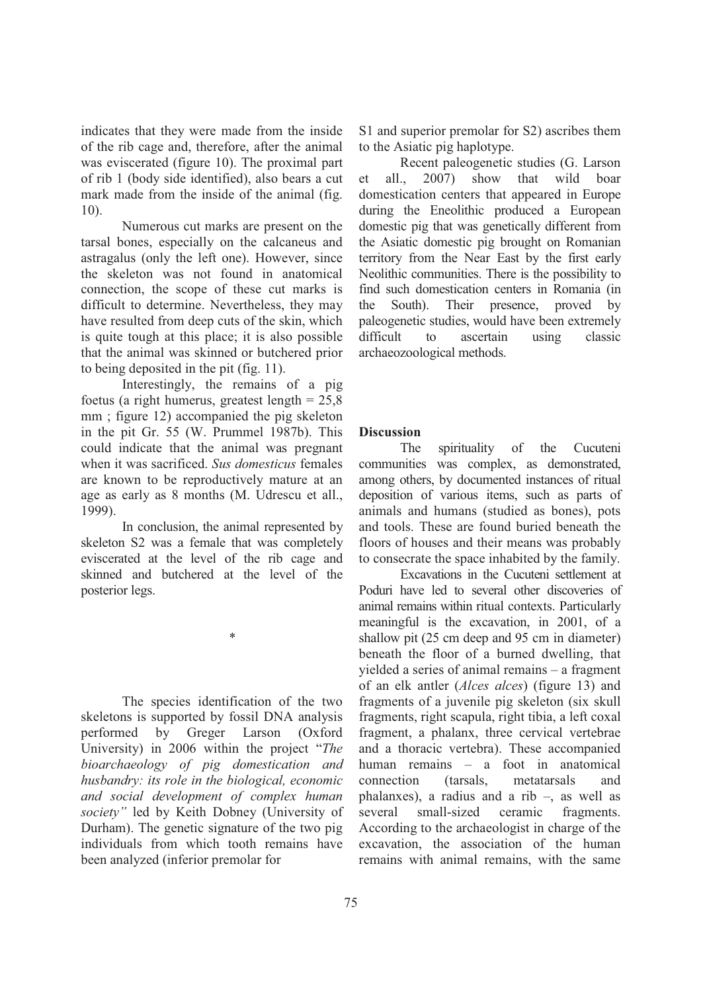indicates that they were made from the inside of the rib cage and, therefore, after the animal was eviscerated (figure 10). The proximal part of rib 1 (body side identified), also bears a cut mark made from the inside of the animal (fig. 10).

Numerous cut marks are present on the tarsal bones, especially on the calcaneus and astragalus (only the left one). However, since the skeleton was not found in anatomical connection, the scope of these cut marks is difficult to determine. Nevertheless, they may have resulted from deep cuts of the skin, which is quite tough at this place; it is also possible that the animal was skinned or butchered prior to being deposited in the pit (fig. 11).

Interestingly, the remains of a pig foetus (a right humerus, greatest length  $= 25.8$ mm; figure 12) accompanied the pig skeleton in the pit Gr. 55 (W. Prummel 1987b). This could indicate that the animal was pregnant when it was sacrificed. *Sus domesticus* females are known to be reproductively mature at an age as early as 8 months (M. Udrescu et all., 1999).

In conclusion, the animal represented by skeleton S2 was a female that was completely eviscerated at the level of the rib cage and skinned and butchered at the level of the posterior legs.

\*

The species identification of the two skeletons is supported by fossil DNA analysis performed by Greger Larson (Oxford University) in 2006 within the project "*The bioarchaeology of pig domestication and husbandry: its role in the biological, economic and social development of complex human society"* led by Keith Dobney (University of Durham). The genetic signature of the two pig individuals from which tooth remains have been analyzed (inferior premolar for

S1 and superior premolar for S2) ascribes them to the Asiatic pig haplotype.

Recent paleogenetic studies (G. Larson et all., 2007) show that wild boar domestication centers that appeared in Europe during the Eneolithic produced a European domestic pig that was genetically different from the Asiatic domestic pig brought on Romanian territory from the Near East by the first early Neolithic communities. There is the possibility to find such domestication centers in Romania (in the South). Their presence, proved by paleogenetic studies, would have been extremely difficult to ascertain using classic archaeozoological methods.

# **Discussion**

The spirituality of the Cucuteni communities was complex, as demonstrated, among others, by documented instances of ritual deposition of various items, such as parts of animals and humans (studied as bones), pots and tools. These are found buried beneath the floors of houses and their means was probably to consecrate the space inhabited by the family.

Excavations in the Cucuteni settlement at Poduri have led to several other discoveries of animal remains within ritual contexts. Particularly meaningful is the excavation, in 2001, of a shallow pit (25 cm deep and 95 cm in diameter) beneath the floor of a burned dwelling, that yielded a series of animal remains – a fragment of an elk antler (*Alces alces*) (figure 13) and fragments of a juvenile pig skeleton (six skull fragments, right scapula, right tibia, a left coxal fragment, a phalanx, three cervical vertebrae and a thoracic vertebra). These accompanied human remains – a foot in anatomical connection (tarsals, metatarsals and phalanxes), a radius and a rib –, as well as several small-sized ceramic fragments. According to the archaeologist in charge of the excavation, the association of the human remains with animal remains, with the same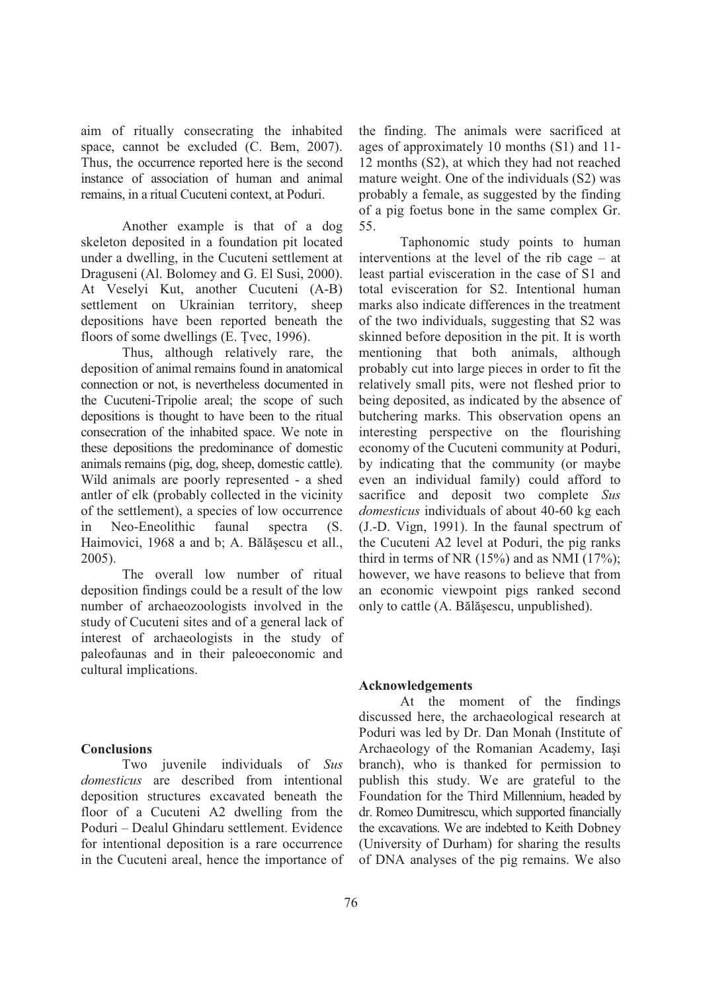aim of ritually consecrating the inhabited space, cannot be excluded (C. Bem, 2007). Thus, the occurrence reported here is the second instance of association of human and animal remains, in a ritual Cucuteni context, at Poduri.

Another example is that of a dog skeleton deposited in a foundation pit located under a dwelling, in the Cucuteni settlement at Draguseni (Al. Bolomey and G. El Susi, 2000). At Veselyi Kut, another Cucuteni (A-B) settlement on Ukrainian territory, sheep depositions have been reported beneath the floors of some dwellings (E. Tvec, 1996).

Thus, although relatively rare, the deposition of animal remains found in anatomical connection or not, is nevertheless documented in the Cucuteni-Tripolie areal; the scope of such depositions is thought to have been to the ritual consecration of the inhabited space. We note in these depositions the predominance of domestic animals remains (pig, dog, sheep, domestic cattle). Wild animals are poorly represented - a shed antler of elk (probably collected in the vicinity of the settlement), a species of low occurrence in Neo-Eneolithic faunal spectra (S. Haimovici, 1968 a and b; A. Bălășescu et all., 2005).

The overall low number of ritual deposition findings could be a result of the low number of archaeozoologists involved in the study of Cucuteni sites and of a general lack of interest of archaeologists in the study of paleofaunas and in their paleoeconomic and cultural implications.

### **Conclusions**

Two juvenile individuals of *Sus domesticus* are described from intentional deposition structures excavated beneath the floor of a Cucuteni A2 dwelling from the Poduri – Dealul Ghindaru settlement. Evidence for intentional deposition is a rare occurrence in the Cucuteni areal, hence the importance of

the finding. The animals were sacrificed at ages of approximately 10 months (S1) and 11- 12 months (S2), at which they had not reached mature weight. One of the individuals (S2) was probably a female, as suggested by the finding of a pig foetus bone in the same complex Gr. 55.

Taphonomic study points to human interventions at the level of the rib cage – at least partial evisceration in the case of S1 and total evisceration for S2. Intentional human marks also indicate differences in the treatment of the two individuals, suggesting that S2 was skinned before deposition in the pit. It is worth mentioning that both animals, although probably cut into large pieces in order to fit the relatively small pits, were not fleshed prior to being deposited, as indicated by the absence of butchering marks. This observation opens an interesting perspective on the flourishing economy of the Cucuteni community at Poduri, by indicating that the community (or maybe even an individual family) could afford to sacrifice and deposit two complete *Sus domesticus* individuals of about 40-60 kg each (J.-D. Vign, 1991). In the faunal spectrum of the Cucuteni A2 level at Poduri, the pig ranks third in terms of NR  $(15%)$  and as NMI  $(17%)$ ; however, we have reasons to believe that from an economic viewpoint pigs ranked second only to cattle (A. Bălășescu, unpublished).

#### **Acknowledgements**

At the moment of the findings discussed here, the archaeological research at Poduri was led by Dr. Dan Monah (Institute of Archaeology of the Romanian Academy, Iași branch), who is thanked for permission to publish this study. We are grateful to the Foundation for the Third Millennium, headed by dr. Romeo Dumitrescu, which supported financially the excavations. We are indebted to Keith Dobney (University of Durham) for sharing the results of DNA analyses of the pig remains. We also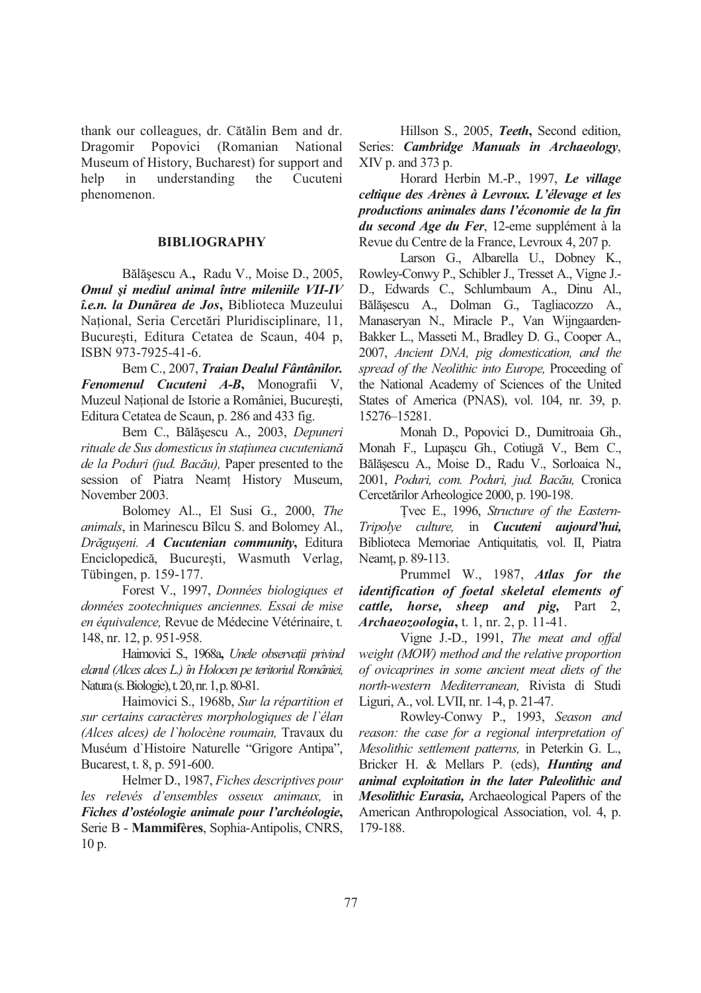thank our colleagues, dr. Cătălin Bem and dr. Dragomir Popovici (Romanian National Museum of History, Bucharest) for support and help in understanding the Cucuteni phenomenon.

# **BIBLIOGRAPHY**

Bălășescu A., Radu V., Moise D., 2005, *Omul i mediul animal între mileniile VII-IV î.e.n. la Dunrea de Jos***,** Biblioteca Muzeului Național, Seria Cercetări Pluridisciplinare, 11, București, Editura Cetatea de Scaun, 404 p, ISBN 973-7925-41-6.

Bem C., 2007, *Traian Dealul Fântânilor. Fenomenul Cucuteni A-B***,** Monografii V, Muzeul National de Istorie a României, Bucuresti, Editura Cetatea de Scaun, p. 286 and 433 fig.

Bem C., Bălășescu A., 2003, Depuneri *rituale de Sus domesticus în staiunea cucutenian de la Poduri (jud. Bacu),* Paper presented to the session of Piatra Neamt History Museum, November 2003.

Bolomey Al.., El Susi G., 2000, *The animals*, in Marinescu Bîlcu S. and Bolomey Al., *Drgu-eni. A Cucutenian community***,** Editura Enciclopedică, București, Wasmuth Verlag, Tübingen, p. 159-177.

Forest V., 1997, *Données biologiques et données zootechniques anciennes. Essai de mise en équivalence,* Revue de Médecine Vétérinaire, t. 148, nr. 12, p. 951-958.

Haimovici S., 1968a**,** *Unele observaii privind elanul (Alces alces L.) în Holocen pe teritoriul României,*  Natura (s. Biologie), t. 20, nr. 1, p. 80-81.

Haimovici S., 1968b, *Sur la répartition et sur certains caractères morphologiques de l`élan (Alces alces) de l`holocène roumain,* Travaux du Muséum d`Histoire Naturelle "Grigore Antipa", Bucarest, t. 8, p. 591-600.

Helmer D., 1987, *Fiches descriptives pour les relevés d'ensembles osseux animaux,* in *Fiches d'ostéologie animale pour l'archéologie***,**  Serie B - **Mammifères**, Sophia-Antipolis, CNRS, 10 p.

Hillson S., 2005, *Teeth***,** Second edition, Series: *Cambridge Manuals in Archaeology*, XIV p. and 373 p.

Horard Herbin M.-P., 1997, *Le village celtique des Arènes à Levroux. L'élevage et les productions animales dans l'économie de la fin du second Age du Fer*, 12-eme supplément à la Revue du Centre de la France, Levroux 4, 207 p.

Larson G., Albarella U., Dobney K., Rowley-Conwy P., Schibler J., Tresset A., Vigne J.- D., Edwards C., Schlumbaum A., Dinu Al., Bălășescu A., Dolman G., Tagliacozzo A., Manaseryan N., Miracle P., Van Wijngaarden-Bakker L., Masseti M., Bradley D. G., Cooper A., 2007, *Ancient DNA, pig domestication, and the spread of the Neolithic into Europe,* Proceeding of the National Academy of Sciences of the United States of America (PNAS), vol. 104, nr. 39, p. 15276–15281.

Monah D., Popovici D., Dumitroaia Gh., Monah F., Lupașcu Gh., Cotiugă V., Bem C., Bălășescu A., Moise D., Radu V., Sorloaica N., 2001, *Poduri, com. Poduri, jud. Bacu,* Cronica Cercetărilor Arheologice 2000, p. 190-198.

vec E., 1996, *Structure of the Eastern-Tripolye culture,* in *Cucuteni aujourd'hui,* Biblioteca Memoriae Antiquitatis*,* vol. II, Piatra Neamt, p. 89-113.

 Prummel W., 1987, *Atlas for the identification of foetal skeletal elements of cattle, horse, sheep and pig,* Part 2, *Archaeozoologia***,** t. 1, nr. 2, p. 11-41.

 Vigne J.-D., 1991, *The meat and offal weight (MOW) method and the relative proportion of ovicaprines in some ancient meat diets of the north-western Mediterranean,* Rivista di Studi Liguri, A., vol. LVII, nr. 1-4, p. 21-47.

 Rowley-Conwy P., 1993, *Season and reason: the case for a regional interpretation of Mesolithic settlement patterns,* in Peterkin G. L., Bricker H. & Mellars P. (eds), *Hunting and animal exploitation in the later Paleolithic and Mesolithic Eurasia,* Archaeological Papers of the American Anthropological Association, vol. 4, p. 179-188.